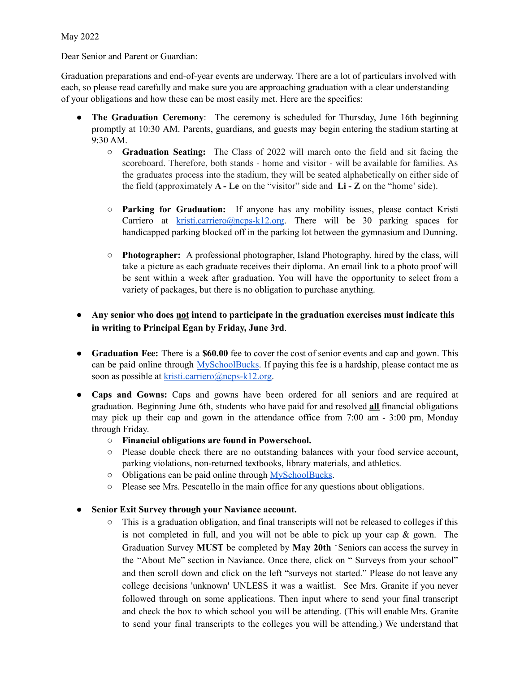May 2022

Dear Senior and Parent or Guardian:

Graduation preparations and end-of-year events are underway. There are a lot of particulars involved with each, so please read carefully and make sure you are approaching graduation with a clear understanding of your obligations and how these can be most easily met. Here are the specifics:

- **The Graduation Ceremony**: The ceremony is scheduled for Thursday, June 16th beginning promptly at 10:30 AM. Parents, guardians, and guests may begin entering the stadium starting at 9:30 AM.
	- **Graduation Seating:** The Class of 2022 will march onto the field and sit facing the scoreboard. Therefore, both stands - home and visitor - will be available for families. As the graduates process into the stadium, they will be seated alphabetically on either side of the field (approximately **A - Le** on the "visitor" side and **Li - Z** on the "home'side).
	- **Parking for Graduation:** If anyone has any mobility issues, please contact Kristi Carriero at [kristi.carriero@ncps-k12.org.](mailto:kristi.carriero@ncps-k12.org) There will be 30 parking spaces for handicapped parking blocked off in the parking lot between the gymnasium and Dunning.
	- **Photographer:** A professional photographer, Island Photography, hired by the class, will take a picture as each graduate receives their diploma. An email link to a photo proof will be sent within a week after graduation. You will have the opportunity to select from a variety of packages, but there is no obligation to purchase anything.

#### ● **Any senior who does not intend to participate in the graduation exercises must indicate this in writing to Principal Egan by Friday, June 3rd**.

- **Graduation Fee:** There is a **\$60.00** fee to cover the cost of senior events and cap and gown. This can be paid online through [MySchoolBucks.](https://www.myschoolbucks.com/ver2/login/getlogin.action?loginRequired=true) If paying this fee is a hardship, please contact me as soon as possible at [kristi.carriero@ncps-k12.org](mailto:kristi.carriero@ncps-k12.org).
- **Caps and Gowns:** Caps and gowns have been ordered for all seniors and are required at graduation. Beginning June 6th, students who have paid for and resolved **all** financial obligations may pick up their cap and gown in the attendance office from 7:00 am - 3:00 pm, Monday through Friday.
	- **○ Financial obligations are found in Powerschool.**
	- Please double check there are no outstanding balances with your food service account, parking violations, non-returned textbooks, library materials, and athletics.
	- Obligations can be paid online through [MySchoolBucks](https://www.myschoolbucks.com/ver2/login/getlogin.action?loginRequired=true).
	- Please see Mrs. Pescatello in the main office for any questions about obligations.
- **● Senior Exit Survey through your Naviance account.**
	- **○** This is a graduation obligation, and final transcripts will not be released to colleges if this is not completed in full, and you will not be able to pick up your cap  $\&$  gown. The Graduation Survey **MUST** be completed by **May 20th -** Seniors can access the survey in the "About Me" section in Naviance. Once there, click on " Surveys from your school" and then scroll down and click on the left "surveys not started." Please do not leave any college decisions 'unknown' UNLESS it was a waitlist. See Mrs. Granite if you never followed through on some applications. Then input where to send your final transcript and check the box to which school you will be attending. (This will enable Mrs. Granite to send your final transcripts to the colleges you will be attending.) We understand that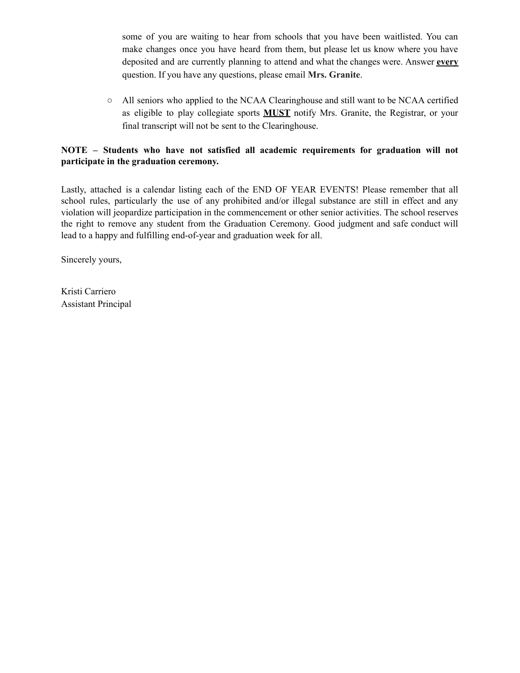some of you are waiting to hear from schools that you have been waitlisted. You can make changes once you have heard from them, but please let us know where you have deposited and are currently planning to attend and what the changes were. Answer **every** question. If you have any questions, please email **Mrs. Granite**.

**○** All seniors who applied to the NCAA Clearinghouse and still want to be NCAA certified as eligible to play collegiate sports **MUST** notify Mrs. Granite, the Registrar, or your final transcript will not be sent to the Clearinghouse.

#### **NOTE – Students who have not satisfied all academic requirements for graduation will not participate in the graduation ceremony.**

Lastly, attached is a calendar listing each of the END OF YEAR EVENTS! Please remember that all school rules, particularly the use of any prohibited and/or illegal substance are still in effect and any violation will jeopardize participation in the commencement or other senior activities. The school reserves the right to remove any student from the Graduation Ceremony. Good judgment and safe conduct will lead to a happy and fulfilling end-of-year and graduation week for all.

Sincerely yours,

Kristi Carriero Assistant Principal